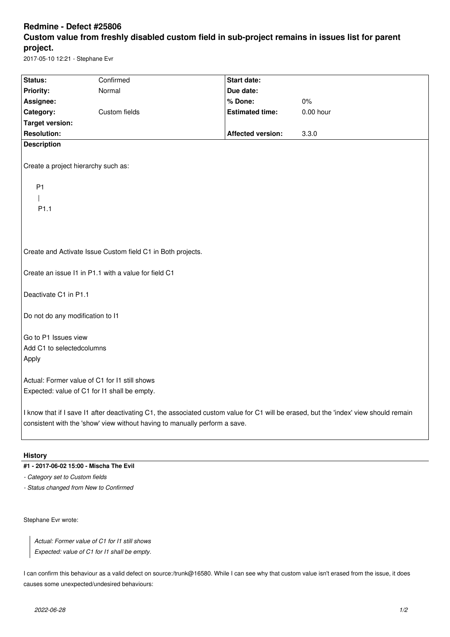## **Redmine - Defect #25806 Custom value from freshly disabled custom field in sub-project remains in issues list for parent project.**

2017-05-10 12:21 - Stephane Evr

| Status:                                                                                                                                                                                                             | Confirmed     | <b>Start date:</b>       |             |
|---------------------------------------------------------------------------------------------------------------------------------------------------------------------------------------------------------------------|---------------|--------------------------|-------------|
| Priority:                                                                                                                                                                                                           | Normal        | Due date:                |             |
| Assignee:                                                                                                                                                                                                           |               | % Done:                  | 0%          |
| Category:                                                                                                                                                                                                           | Custom fields | <b>Estimated time:</b>   | $0.00$ hour |
| <b>Target version:</b>                                                                                                                                                                                              |               |                          |             |
| <b>Resolution:</b>                                                                                                                                                                                                  |               | <b>Affected version:</b> | 3.3.0       |
| <b>Description</b>                                                                                                                                                                                                  |               |                          |             |
| Create a project hierarchy such as:                                                                                                                                                                                 |               |                          |             |
| P <sub>1</sub>                                                                                                                                                                                                      |               |                          |             |
|                                                                                                                                                                                                                     |               |                          |             |
| P <sub>1.1</sub>                                                                                                                                                                                                    |               |                          |             |
|                                                                                                                                                                                                                     |               |                          |             |
|                                                                                                                                                                                                                     |               |                          |             |
|                                                                                                                                                                                                                     |               |                          |             |
| Create and Activate Issue Custom field C1 in Both projects.                                                                                                                                                         |               |                          |             |
| Create an issue I1 in P1.1 with a value for field C1                                                                                                                                                                |               |                          |             |
| Deactivate C1 in P1.1                                                                                                                                                                                               |               |                          |             |
| Do not do any modification to I1                                                                                                                                                                                    |               |                          |             |
| Go to P1 Issues view                                                                                                                                                                                                |               |                          |             |
| Add C1 to selectedcolumns                                                                                                                                                                                           |               |                          |             |
| Apply                                                                                                                                                                                                               |               |                          |             |
|                                                                                                                                                                                                                     |               |                          |             |
| Actual: Former value of C1 for I1 still shows                                                                                                                                                                       |               |                          |             |
| Expected: value of C1 for I1 shall be empty.                                                                                                                                                                        |               |                          |             |
| I know that if I save I1 after deactivating C1, the associated custom value for C1 will be erased, but the 'index' view should remain<br>consistent with the 'show' view without having to manually perform a save. |               |                          |             |

## **History**

## **#1 - 2017-06-02 15:00 - Mischa The Evil**

*- Category set to Custom fields*

*- Status changed from New to Confirmed*

Stephane Evr wrote:

*Actual: Former value of C1 for I1 still shows Expected: value of C1 for I1 shall be empty.*

I can confirm this behaviour as a valid defect on source:/trunk@16580. While I can see why that custom value isn't erased from the issue, it does causes some unexpected/undesired behaviours: